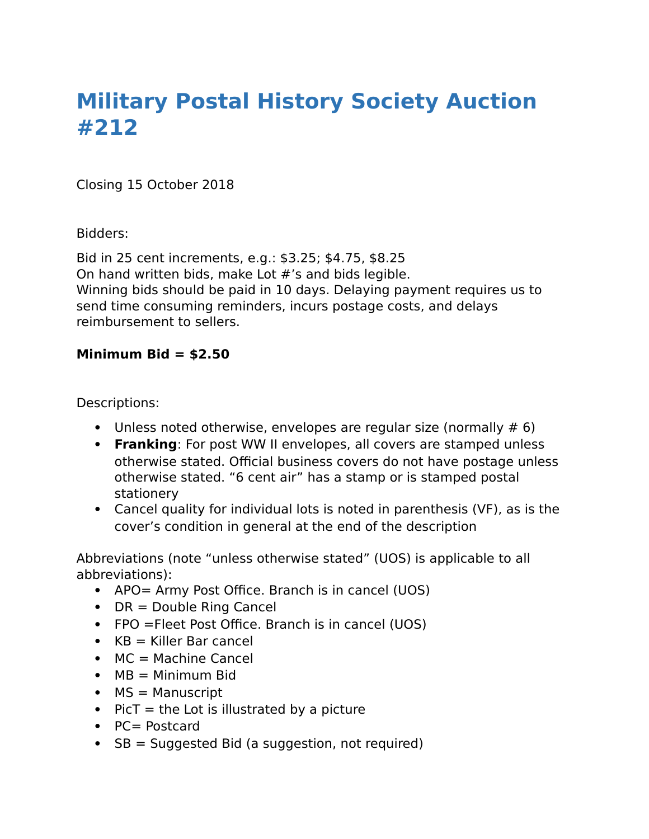# **Military Postal History Society Auction #212**

Closing 15 October 2018

Bidders:

Bid in 25 cent increments, e.g.: \$3.25; \$4.75, \$8.25 On hand written bids, make Lot #'s and bids legible. Winning bids should be paid in 10 days. Delaying payment requires us to send time consuming reminders, incurs postage costs, and delays reimbursement to sellers.

# **Minimum Bid = \$2.50**

Descriptions:

- Unless noted otherwise, envelopes are regular size (normally  $# 6$ )
- **Franking**: For post WW II envelopes, all covers are stamped unless otherwise stated. Official business covers do not have postage unless otherwise stated. "6 cent air" has a stamp or is stamped postal stationery
- Cancel quality for individual lots is noted in parenthesis (VF), as is the cover's condition in general at the end of the description

Abbreviations (note "unless otherwise stated" (UOS) is applicable to all abbreviations):

- APO= Army Post Office. Branch is in cancel (UOS)
- $\bullet$  DR = Double Ring Cancel
- FPO = Fleet Post Office. Branch is in cancel (UOS)
- $KB =$  Killer Bar cancel
- $M = Machine Cancel$
- $M = Minimum$  Bid
- $MS =$  Manuscript
- $\bullet$  PicT = the Lot is illustrated by a picture
- PC= Postcard
- $\bullet$  SB = Suggested Bid (a suggestion, not required)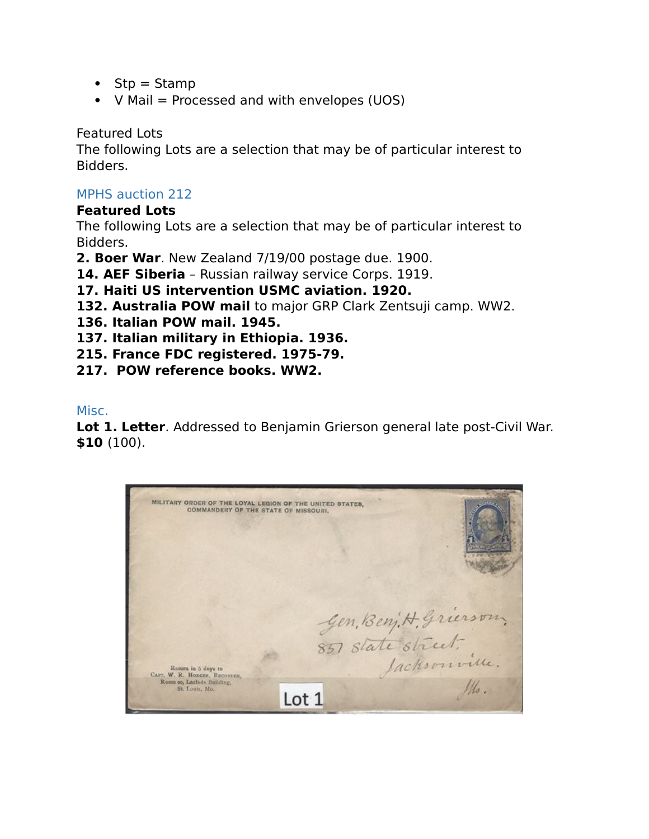- $\bullet$  Stp = Stamp
- $V$  Mail = Processed and with envelopes (UOS)

Featured Lots

The following Lots are a selection that may be of particular interest to Bidders.

# MPHS auction 212

## **Featured Lots**

The following Lots are a selection that may be of particular interest to Bidders.

**2. Boer War**. New Zealand 7/19/00 postage due. 1900.

**14. AEF Siberia** – Russian railway service Corps. 1919.

# **17. Haiti US intervention USMC aviation. 1920.**

- **132. Australia POW mail** to major GRP Clark Zentsuji camp. WW2.
- **136. Italian POW mail. 1945.**
- **137. Italian military in Ethiopia. 1936.**
- **215. France FDC registered. 1975-79.**
- **217. POW reference books. WW2.**

Misc.

**Lot 1. Letter**. Addressed to Benjamin Grierson general late post-Civil War. **\$10** (100).

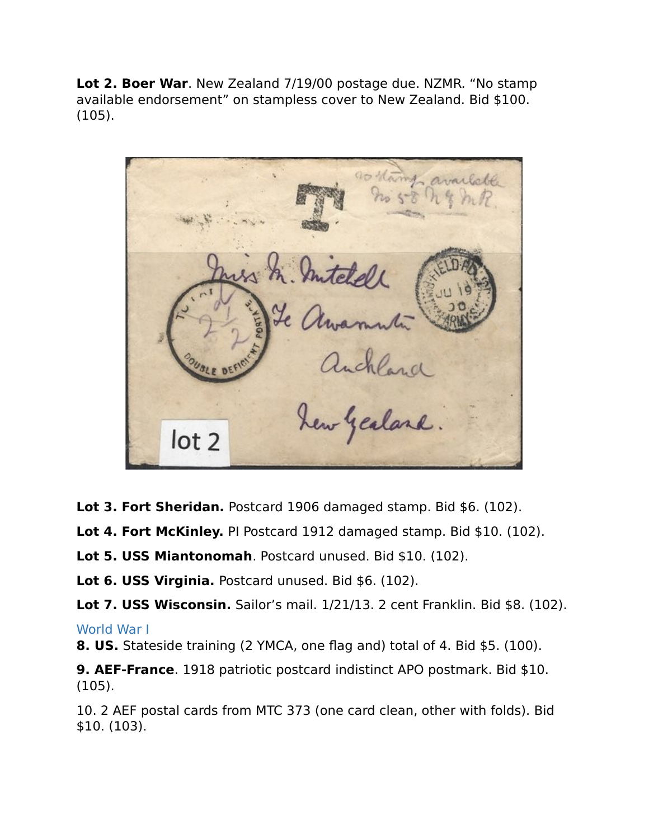**Lot 2. Boer War**. New Zealand 7/19/00 postage due. NZMR. "No stamp available endorsement" on stampless cover to New Zealand. Bid \$100. (105).

anchland<br>hew yealand  $lot<sub>2</sub>$ 

**Lot 3. Fort Sheridan.** Postcard 1906 damaged stamp. Bid \$6. (102).

**Lot 4. Fort McKinley.** PI Postcard 1912 damaged stamp. Bid \$10. (102).

**Lot 5. USS Miantonomah**. Postcard unused. Bid \$10. (102).

**Lot 6. USS Virginia.** Postcard unused. Bid \$6. (102).

**Lot 7. USS Wisconsin.** Sailor's mail. 1/21/13. 2 cent Franklin. Bid \$8. (102).

## World War I

**8. US.** Stateside training (2 YMCA, one flag and) total of 4. Bid \$5. (100).

**9. AEF-France**. 1918 patriotic postcard indistinct APO postmark. Bid \$10. (105).

10. 2 AEF postal cards from MTC 373 (one card clean, other with folds). Bid \$10. (103).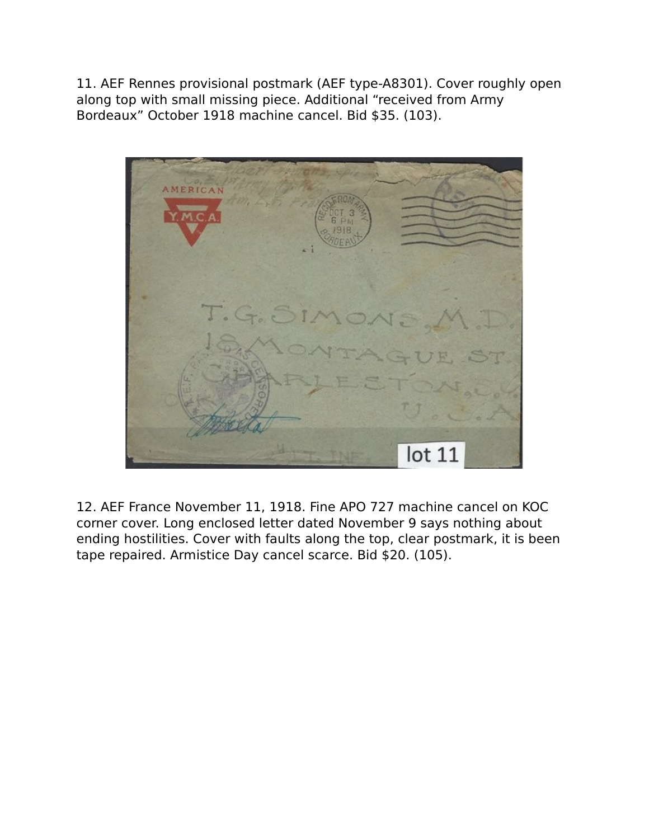11. AEF Rennes provisional postmark (AEF type-A8301). Cover roughly open along top with small missing piece. Additional "received from Army Bordeaux" October 1918 machine cancel. Bid \$35. (103).



12. AEF France November 11, 1918. Fine APO 727 machine cancel on KOC corner cover. Long enclosed letter dated November 9 says nothing about ending hostilities. Cover with faults along the top, clear postmark, it is been tape repaired. Armistice Day cancel scarce. Bid \$20. (105).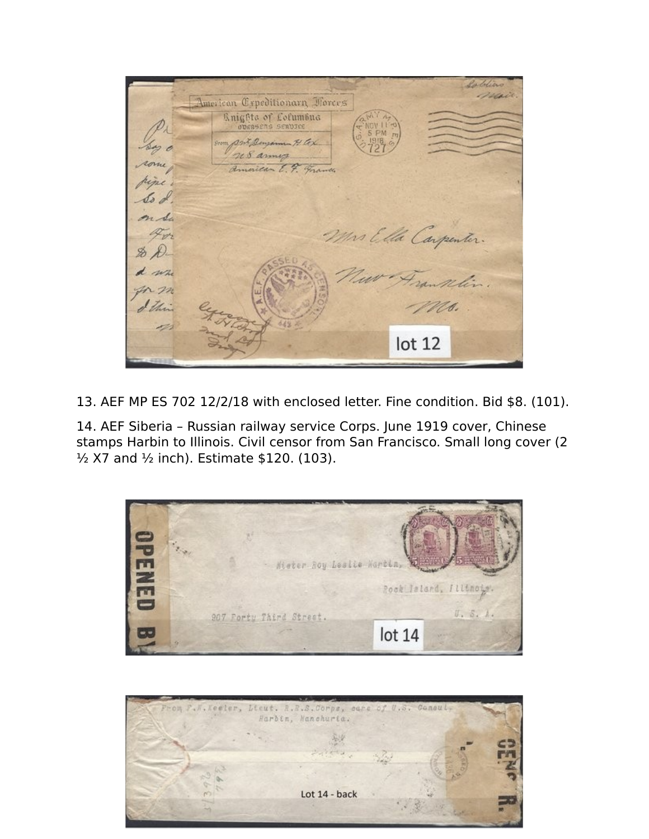Soldiero mail American Crpeditionarn Forces **Knights of Columbus** ODERSENS SERUICE Ant Densomm H Cox an o 208 annua American E. F. France ripe. So d on Sa Mrs Ella Carpenter. 4m  $\n *x*$ d wh Ms. lot 12

13. AEF MP ES 702 12/2/18 with enclosed letter. Fine condition. Bid \$8. (101).

14. AEF Siberia – Russian railway service Corps. June 1919 cover, Chinese stamps Harbin to Illinois. Civil censor from San Francisco. Small long cover (2 ½ X7 and ½ inch). Estimate \$120. (103).



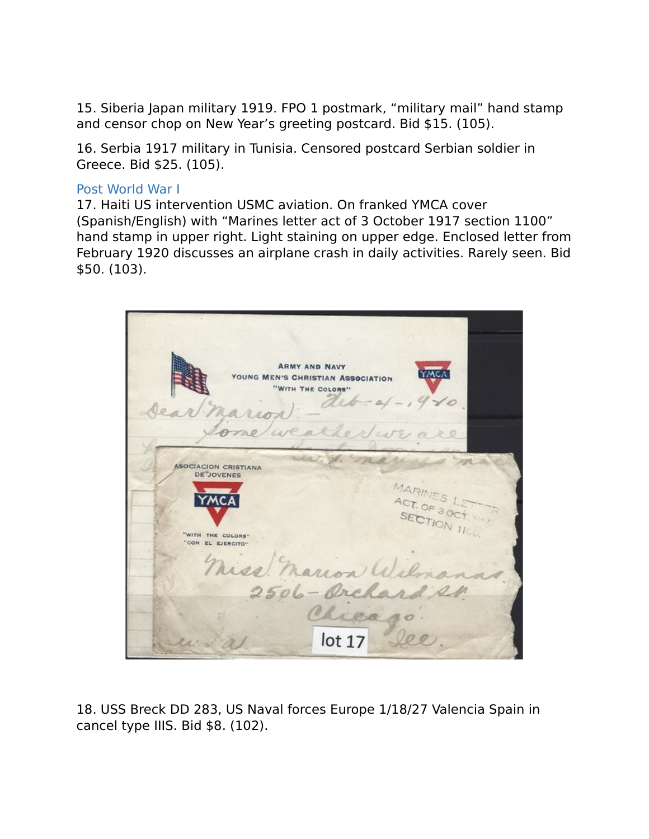15. Siberia Japan military 1919. FPO 1 postmark, "military mail" hand stamp and censor chop on New Year's greeting postcard. Bid \$15. (105).

16. Serbia 1917 military in Tunisia. Censored postcard Serbian soldier in Greece. Bid \$25. (105).

#### Post World War I

17. Haiti US intervention USMC aviation. On franked YMCA cover (Spanish/English) with "Marines letter act of 3 October 1917 section 1100" hand stamp in upper right. Light staining on upper edge. Enclosed letter from February 1920 discusses an airplane crash in daily activities. Rarely seen. Bid \$50. (103).



18. USS Breck DD 283, US Naval forces Europe 1/18/27 Valencia Spain in cancel type IIIS. Bid \$8. (102).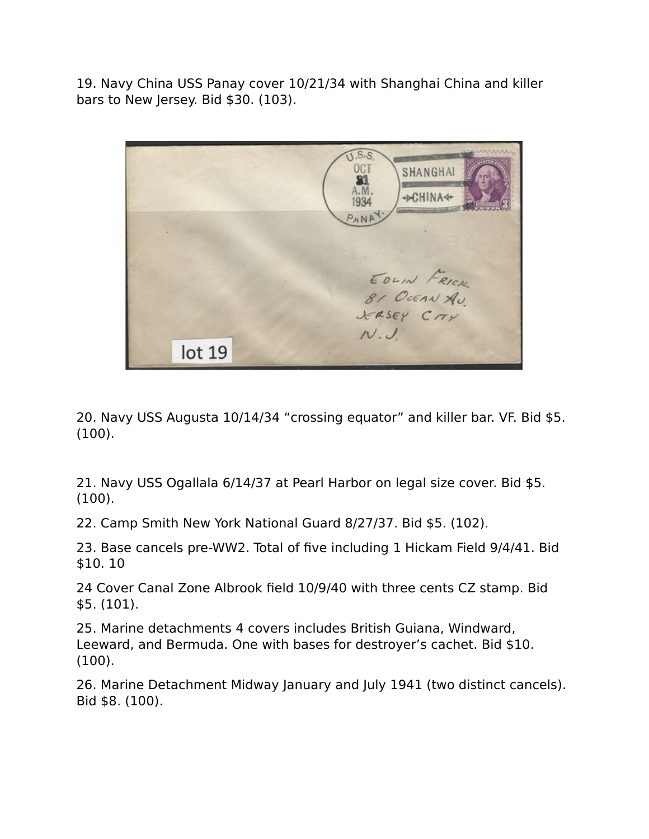19. Navy China USS Panay cover 10/21/34 with Shanghai China and killer bars to New Jersey. Bid \$30. (103).

 $\overline{J.S.S.}$ **OCT SHANGHAI** 81 A.M. **+DCHINA4+** 1934  $P_ANP$ EDLIN FRICK 81 OCEAN AU JERSEY CITY  $N.J$  $lot<sub>19</sub>$ 

20. Navy USS Augusta 10/14/34 "crossing equator" and killer bar. VF. Bid \$5. (100).

21. Navy USS Ogallala 6/14/37 at Pearl Harbor on legal size cover. Bid \$5. (100).

22. Camp Smith New York National Guard 8/27/37. Bid \$5. (102).

23. Base cancels pre-WW2. Total of five including 1 Hickam Field 9/4/41. Bid \$10. 10

24 Cover Canal Zone Albrook field 10/9/40 with three cents CZ stamp. Bid \$5. (101).

25. Marine detachments 4 covers includes British Guiana, Windward, Leeward, and Bermuda. One with bases for destroyer's cachet. Bid \$10. (100).

26. Marine Detachment Midway January and July 1941 (two distinct cancels). Bid \$8. (100).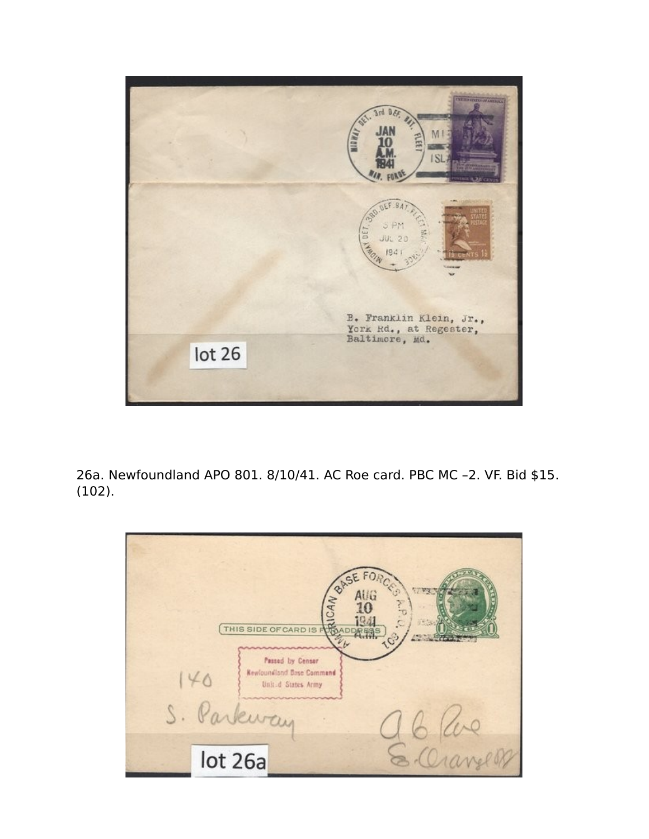

26a. Newfoundland APO 801. 8/10/41. AC Roe card. PBC MC –2. VF. Bid \$15. (102).

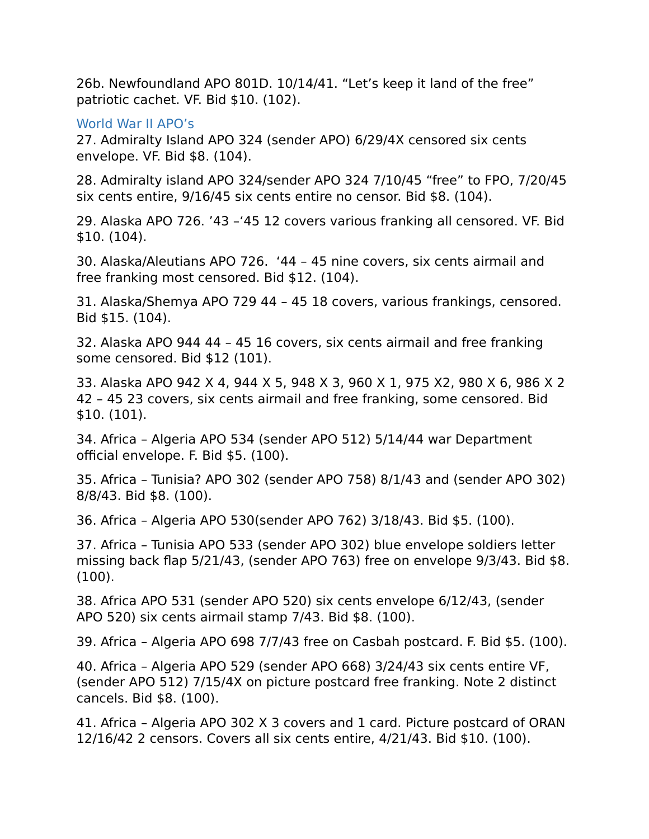26b. Newfoundland APO 801D. 10/14/41. "Let's keep it land of the free" patriotic cachet. VF. Bid \$10. (102).

# World War II APO's

27. Admiralty Island APO 324 (sender APO) 6/29/4X censored six cents envelope. VF. Bid \$8. (104).

28. Admiralty island APO 324/sender APO 324 7/10/45 "free" to FPO, 7/20/45 six cents entire, 9/16/45 six cents entire no censor. Bid \$8. (104).

29. Alaska APO 726. '43 –'45 12 covers various franking all censored. VF. Bid \$10. (104).

30. Alaska/Aleutians APO 726. '44 – 45 nine covers, six cents airmail and free franking most censored. Bid \$12. (104).

31. Alaska/Shemya APO 729 44 – 45 18 covers, various frankings, censored. Bid \$15. (104).

32. Alaska APO 944 44 – 45 16 covers, six cents airmail and free franking some censored. Bid \$12 (101).

33. Alaska APO 942 X 4, 944 X 5, 948 X 3, 960 X 1, 975 X2, 980 X 6, 986 X 2 42 – 45 23 covers, six cents airmail and free franking, some censored. Bid \$10. (101).

34. Africa – Algeria APO 534 (sender APO 512) 5/14/44 war Department official envelope. F. Bid \$5. (100).

35. Africa – Tunisia? APO 302 (sender APO 758) 8/1/43 and (sender APO 302) 8/8/43. Bid \$8. (100).

36. Africa – Algeria APO 530(sender APO 762) 3/18/43. Bid \$5. (100).

37. Africa – Tunisia APO 533 (sender APO 302) blue envelope soldiers letter missing back flap 5/21/43, (sender APO 763) free on envelope 9/3/43. Bid \$8. (100).

38. Africa APO 531 (sender APO 520) six cents envelope 6/12/43, (sender APO 520) six cents airmail stamp 7/43. Bid \$8. (100).

39. Africa – Algeria APO 698 7/7/43 free on Casbah postcard. F. Bid \$5. (100).

40. Africa – Algeria APO 529 (sender APO 668) 3/24/43 six cents entire VF, (sender APO 512) 7/15/4X on picture postcard free franking. Note 2 distinct cancels. Bid \$8. (100).

41. Africa – Algeria APO 302 X 3 covers and 1 card. Picture postcard of ORAN 12/16/42 2 censors. Covers all six cents entire, 4/21/43. Bid \$10. (100).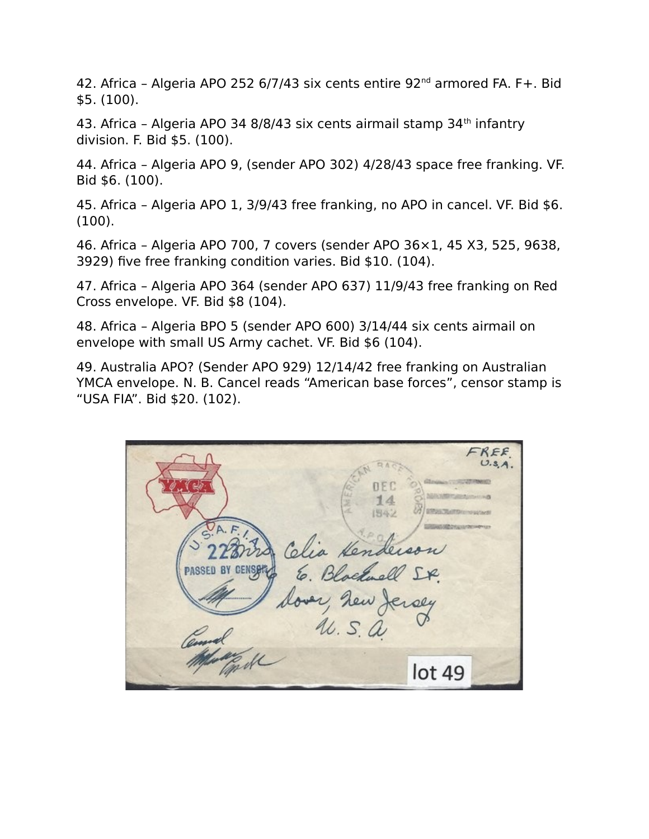42. Africa - Algeria APO 252 6/7/43 six cents entire 92<sup>nd</sup> armored FA. F+. Bid \$5. (100).

43. Africa - Algeria APO 34 8/8/43 six cents airmail stamp 34<sup>th</sup> infantry division. F. Bid \$5. (100).

44. Africa – Algeria APO 9, (sender APO 302) 4/28/43 space free franking. VF. Bid \$6. (100).

45. Africa – Algeria APO 1, 3/9/43 free franking, no APO in cancel. VF. Bid \$6. (100).

46. Africa – Algeria APO 700, 7 covers (sender APO 36×1, 45 X3, 525, 9638, 3929) five free franking condition varies. Bid \$10. (104).

47. Africa – Algeria APO 364 (sender APO 637) 11/9/43 free franking on Red Cross envelope. VF. Bid \$8 (104).

48. Africa – Algeria BPO 5 (sender APO 600) 3/14/44 six cents airmail on envelope with small US Army cachet. VF. Bid \$6 (104).

49. Australia APO? (Sender APO 929) 12/14/42 free franking on Australian YMCA envelope. N. B. Cancel reads "American base forces", censor stamp is "USA FIA". Bid \$20. (102).

FREE 图4-2 ia Ken PASSED ersly  $u$ .  $s$   $a$  $lot49$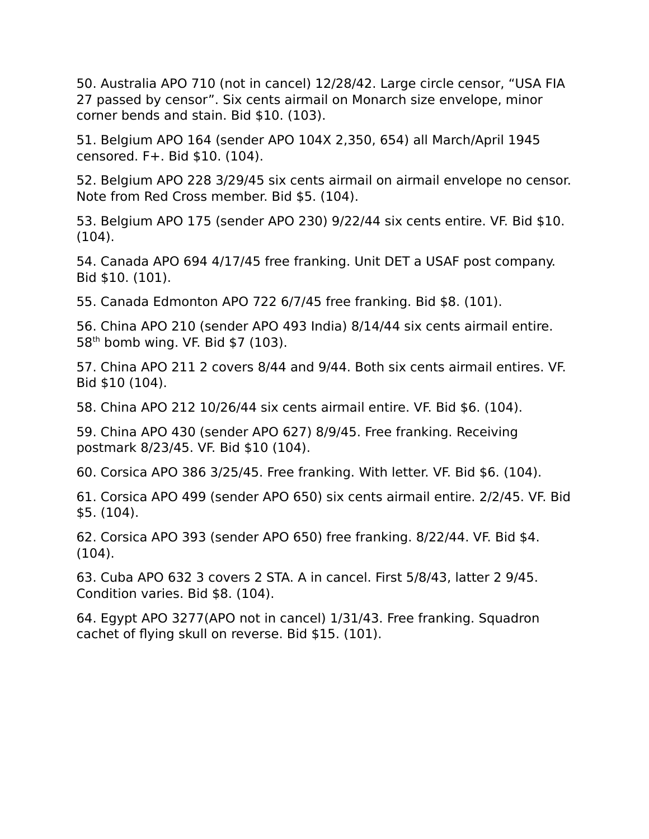50. Australia APO 710 (not in cancel) 12/28/42. Large circle censor, "USA FIA 27 passed by censor". Six cents airmail on Monarch size envelope, minor corner bends and stain. Bid \$10. (103).

51. Belgium APO 164 (sender APO 104X 2,350, 654) all March/April 1945 censored. F+. Bid \$10. (104).

52. Belgium APO 228 3/29/45 six cents airmail on airmail envelope no censor. Note from Red Cross member. Bid \$5. (104).

53. Belgium APO 175 (sender APO 230) 9/22/44 six cents entire. VF. Bid \$10. (104).

54. Canada APO 694 4/17/45 free franking. Unit DET a USAF post company. Bid \$10. (101).

55. Canada Edmonton APO 722 6/7/45 free franking. Bid \$8. (101).

56. China APO 210 (sender APO 493 India) 8/14/44 six cents airmail entire. 58th bomb wing. VF. Bid \$7 (103).

57. China APO 211 2 covers 8/44 and 9/44. Both six cents airmail entires. VF. Bid \$10 (104).

58. China APO 212 10/26/44 six cents airmail entire. VF. Bid \$6. (104).

59. China APO 430 (sender APO 627) 8/9/45. Free franking. Receiving postmark 8/23/45. VF. Bid \$10 (104).

60. Corsica APO 386 3/25/45. Free franking. With letter. VF. Bid \$6. (104).

61. Corsica APO 499 (sender APO 650) six cents airmail entire. 2/2/45. VF. Bid \$5. (104).

62. Corsica APO 393 (sender APO 650) free franking. 8/22/44. VF. Bid \$4. (104).

63. Cuba APO 632 3 covers 2 STA. A in cancel. First 5/8/43, latter 2 9/45. Condition varies. Bid \$8. (104).

64. Egypt APO 3277(APO not in cancel) 1/31/43. Free franking. Squadron cachet of flying skull on reverse. Bid \$15. (101).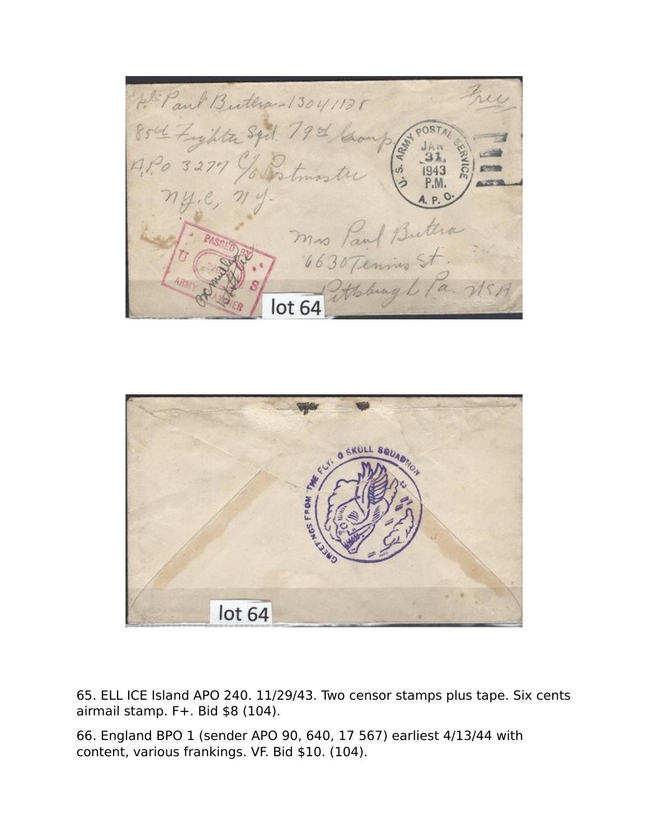Paul Butha-13041125 L Zykter Syd. 79 of Group mis Paul Buttia lot 64



65. ELL ICE Island APO 240. 11/29/43. Two censor stamps plus tape. Six cents airmail stamp. F+. Bid \$8 (104).

66. England BPO 1 (sender APO 90, 640, 17 567) earliest 4/13/44 with content, various frankings. VF. Bid \$10. (104).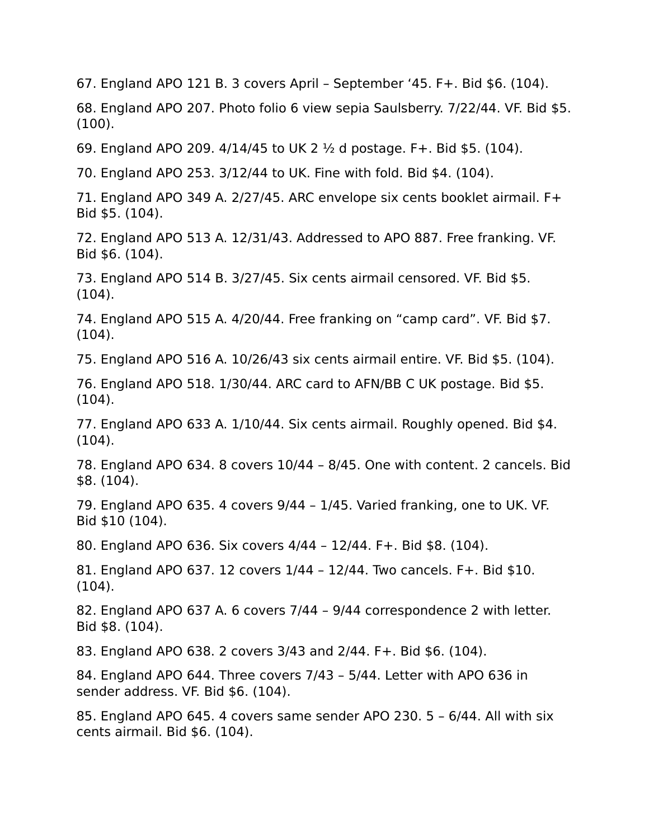67. England APO 121 B. 3 covers April – September '45. F+. Bid \$6. (104).

68. England APO 207. Photo folio 6 view sepia Saulsberry. 7/22/44. VF. Bid \$5. (100).

69. England APO 209.  $4/14/45$  to UK 2  $\frac{1}{2}$  d postage. F+. Bid \$5. (104).

70. England APO 253. 3/12/44 to UK. Fine with fold. Bid \$4. (104).

71. England APO 349 A. 2/27/45. ARC envelope six cents booklet airmail. F+ Bid \$5. (104).

72. England APO 513 A. 12/31/43. Addressed to APO 887. Free franking. VF. Bid \$6. (104).

73. England APO 514 B. 3/27/45. Six cents airmail censored. VF. Bid \$5. (104).

74. England APO 515 A. 4/20/44. Free franking on "camp card". VF. Bid \$7. (104).

75. England APO 516 A. 10/26/43 six cents airmail entire. VF. Bid \$5. (104).

76. England APO 518. 1/30/44. ARC card to AFN/BB C UK postage. Bid \$5. (104).

77. England APO 633 A. 1/10/44. Six cents airmail. Roughly opened. Bid \$4. (104).

78. England APO 634. 8 covers 10/44 – 8/45. One with content. 2 cancels. Bid \$8. (104).

79. England APO 635. 4 covers 9/44 – 1/45. Varied franking, one to UK. VF. Bid \$10 (104).

80. England APO 636. Six covers 4/44 – 12/44. F+. Bid \$8. (104).

81. England APO 637. 12 covers 1/44 – 12/44. Two cancels. F+. Bid \$10. (104).

82. England APO 637 A. 6 covers 7/44 – 9/44 correspondence 2 with letter. Bid \$8. (104).

83. England APO 638. 2 covers 3/43 and 2/44. F+. Bid \$6. (104).

84. England APO 644. Three covers 7/43 – 5/44. Letter with APO 636 in sender address. VF. Bid \$6. (104).

85. England APO 645. 4 covers same sender APO 230. 5 – 6/44. All with six cents airmail. Bid \$6. (104).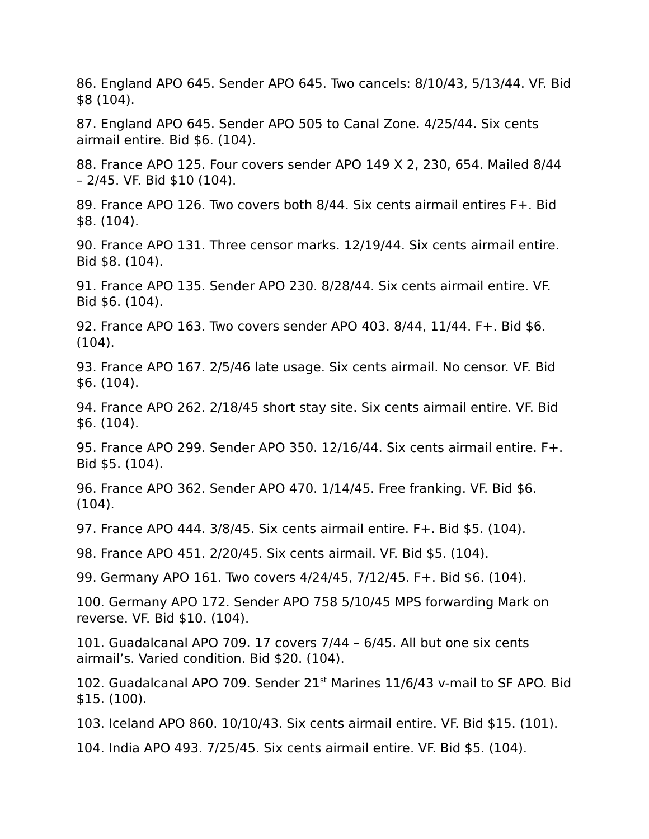86. England APO 645. Sender APO 645. Two cancels: 8/10/43, 5/13/44. VF. Bid \$8 (104).

87. England APO 645. Sender APO 505 to Canal Zone. 4/25/44. Six cents airmail entire. Bid \$6. (104).

88. France APO 125. Four covers sender APO 149 X 2, 230, 654. Mailed 8/44 – 2/45. VF. Bid \$10 (104).

89. France APO 126. Two covers both 8/44. Six cents airmail entires F+. Bid \$8. (104).

90. France APO 131. Three censor marks. 12/19/44. Six cents airmail entire. Bid \$8. (104).

91. France APO 135. Sender APO 230. 8/28/44. Six cents airmail entire. VF. Bid \$6. (104).

92. France APO 163. Two covers sender APO 403. 8/44, 11/44. F+. Bid \$6. (104).

93. France APO 167. 2/5/46 late usage. Six cents airmail. No censor. VF. Bid \$6. (104).

94. France APO 262. 2/18/45 short stay site. Six cents airmail entire. VF. Bid \$6. (104).

95. France APO 299. Sender APO 350. 12/16/44. Six cents airmail entire. F+. Bid \$5. (104).

96. France APO 362. Sender APO 470. 1/14/45. Free franking. VF. Bid \$6.  $(104)$ .

97. France APO 444. 3/8/45. Six cents airmail entire. F+. Bid \$5. (104).

98. France APO 451. 2/20/45. Six cents airmail. VF. Bid \$5. (104).

99. Germany APO 161. Two covers 4/24/45, 7/12/45. F+. Bid \$6. (104).

100. Germany APO 172. Sender APO 758 5/10/45 MPS forwarding Mark on reverse. VF. Bid \$10. (104).

101. Guadalcanal APO 709. 17 covers 7/44 – 6/45. All but one six cents airmail's. Varied condition. Bid \$20. (104).

102. Guadalcanal APO 709. Sender 21<sup>st</sup> Marines 11/6/43 v-mail to SF APO. Bid \$15. (100).

103. Iceland APO 860. 10/10/43. Six cents airmail entire. VF. Bid \$15. (101).

104. India APO 493. 7/25/45. Six cents airmail entire. VF. Bid \$5. (104).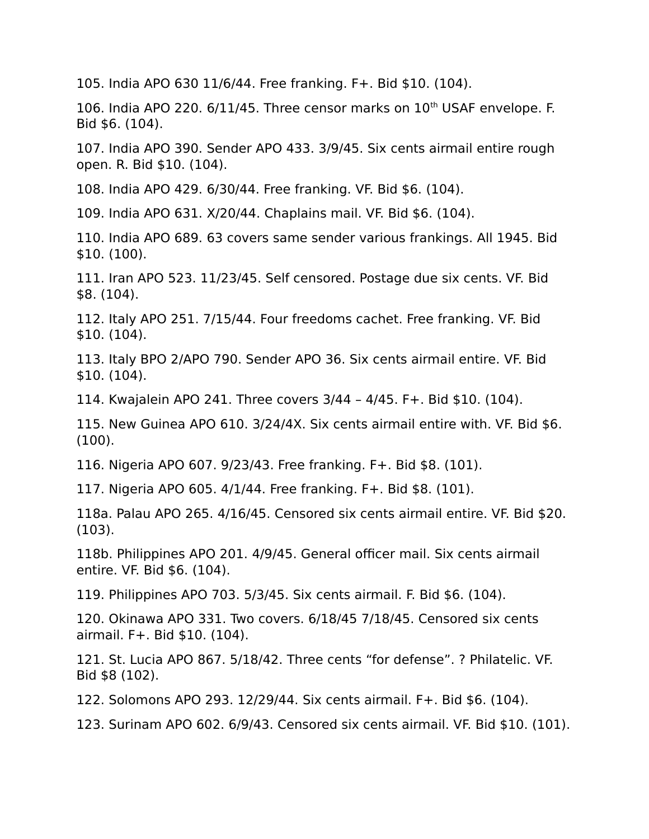105. India APO 630 11/6/44. Free franking. F+. Bid \$10. (104).

106. India APO 220.  $6/11/45$ . Three censor marks on  $10<sup>th</sup>$  USAF envelope. F. Bid \$6. (104).

107. India APO 390. Sender APO 433. 3/9/45. Six cents airmail entire rough open. R. Bid \$10. (104).

108. India APO 429. 6/30/44. Free franking. VF. Bid \$6. (104).

109. India APO 631. X/20/44. Chaplains mail. VF. Bid \$6. (104).

110. India APO 689. 63 covers same sender various frankings. All 1945. Bid \$10. (100).

111. Iran APO 523. 11/23/45. Self censored. Postage due six cents. VF. Bid \$8. (104).

112. Italy APO 251. 7/15/44. Four freedoms cachet. Free franking. VF. Bid \$10. (104).

113. Italy BPO 2/APO 790. Sender APO 36. Six cents airmail entire. VF. Bid \$10. (104).

114. Kwajalein APO 241. Three covers 3/44 – 4/45. F+. Bid \$10. (104).

115. New Guinea APO 610. 3/24/4X. Six cents airmail entire with. VF. Bid \$6. (100).

116. Nigeria APO 607. 9/23/43. Free franking. F+. Bid \$8. (101).

117. Nigeria APO 605. 4/1/44. Free franking. F+. Bid \$8. (101).

118a. Palau APO 265. 4/16/45. Censored six cents airmail entire. VF. Bid \$20. (103).

118b. Philippines APO 201. 4/9/45. General officer mail. Six cents airmail entire. VF. Bid \$6. (104).

119. Philippines APO 703. 5/3/45. Six cents airmail. F. Bid \$6. (104).

120. Okinawa APO 331. Two covers. 6/18/45 7/18/45. Censored six cents airmail. F+. Bid \$10. (104).

121. St. Lucia APO 867. 5/18/42. Three cents "for defense". ? Philatelic. VF. Bid \$8 (102).

122. Solomons APO 293. 12/29/44. Six cents airmail. F+. Bid \$6. (104).

123. Surinam APO 602. 6/9/43. Censored six cents airmail. VF. Bid \$10. (101).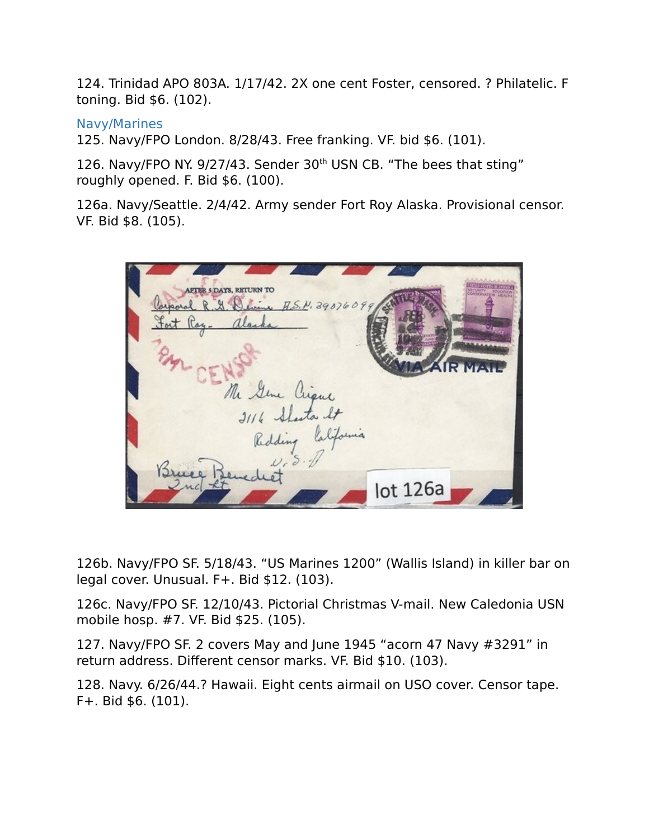124. Trinidad APO 803A. 1/17/42. 2X one cent Foster, censored. ? Philatelic. F toning. Bid \$6. (102).

## Navy/Marines

125. Navy/FPO London. 8/28/43. Free franking. VF. bid \$6. (101).

126. Navy/FPO NY. 9/27/43. Sender 30<sup>th</sup> USN CB. "The bees that sting" roughly opened. F. Bid \$6. (100).

126a. Navy/Seattle. 2/4/42. Army sender Fort Roy Alaska. Provisional censor. VF. Bid \$8. (105).

AFTER 5 DAYS, RETURN TO R H W U A.S.N. 3907609 Seme Crique. Sluta It  $lot$  126a

126b. Navy/FPO SF. 5/18/43. "US Marines 1200" (Wallis Island) in killer bar on legal cover. Unusual. F+. Bid \$12. (103).

126c. Navy/FPO SF. 12/10/43. Pictorial Christmas V-mail. New Caledonia USN mobile hosp. #7. VF. Bid \$25. (105).

127. Navy/FPO SF. 2 covers May and June 1945 "acorn 47 Navy #3291" in return address. Different censor marks. VF. Bid \$10. (103).

128. Navy. 6/26/44.? Hawaii. Eight cents airmail on USO cover. Censor tape. F+. Bid \$6. (101).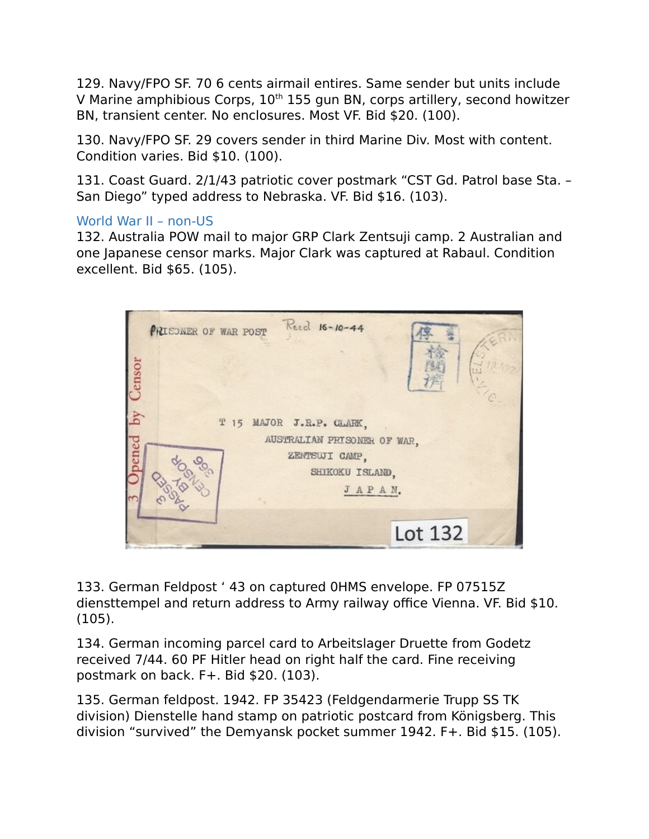129. Navy/FPO SF. 70 6 cents airmail entires. Same sender but units include V Marine amphibious Corps,  $10<sup>th</sup> 155$  gun BN, corps artillery, second howitzer BN, transient center. No enclosures. Most VF. Bid \$20. (100).

130. Navy/FPO SF. 29 covers sender in third Marine Div. Most with content. Condition varies. Bid \$10. (100).

131. Coast Guard. 2/1/43 patriotic cover postmark "CST Gd. Patrol base Sta. – San Diego" typed address to Nebraska. VF. Bid \$16. (103).

## World War II – non-US

132. Australia POW mail to major GRP Clark Zentsuji camp. 2 Australian and one Japanese censor marks. Major Clark was captured at Rabaul. Condition excellent. Bid \$65. (105).



133. German Feldpost ' 43 on captured 0HMS envelope. FP 07515Z diensttempel and return address to Army railway office Vienna. VF. Bid \$10. (105).

134. German incoming parcel card to Arbeitslager Druette from Godetz received 7/44. 60 PF Hitler head on right half the card. Fine receiving postmark on back. F+. Bid \$20. (103).

135. German feldpost. 1942. FP 35423 (Feldgendarmerie Trupp SS TK division) Dienstelle hand stamp on patriotic postcard from Königsberg. This division "survived" the Demyansk pocket summer 1942. F+. Bid \$15. (105).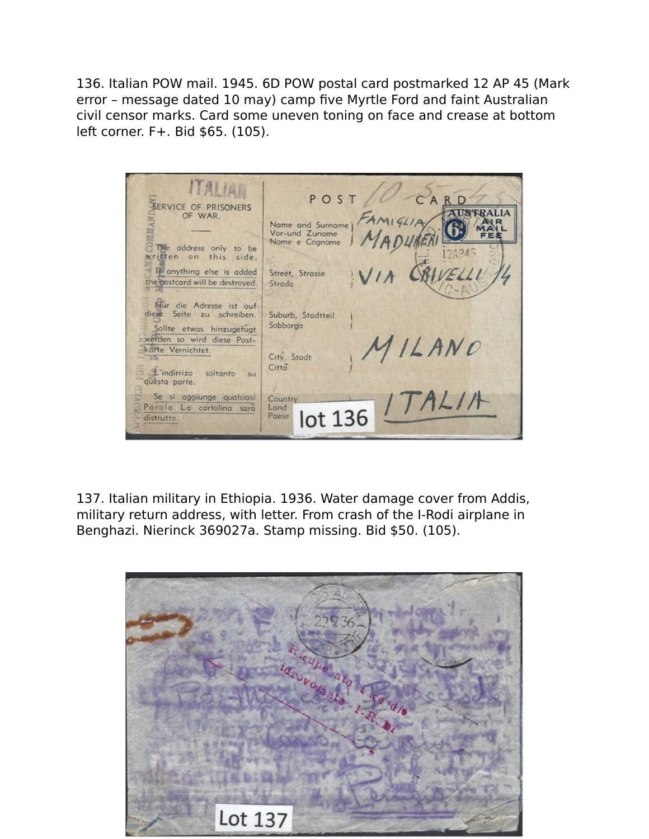136. Italian POW mail. 1945. 6D POW postal card postmarked 12 AP 45 (Mark error – message dated 10 may) camp five Myrtle Ford and faint Australian civil censor marks. Card some uneven toning on face and crease at bottom left corner. F+. Bid \$65. (105).

ITALIAN POST  $\Gamma$ SERVICE OF PRISONERS **AUSTRALIA** OF WAR. Name and Surname)<br>Vor-und Zuname Nome e Cognome The address only to be written on this side. If anything else is added Street, Strasse the postcard will be destroyed. Strada Nur die Adresse ist auf diese Seite zu schreiben. Suburb, Stadtteil Sobborgo Sollte etwas hinzugefügt ILANO<br>TALIA werden so wird diese Postkarte Vernichtet. City, Stadt Città L'indirrizo soltanto su questa parte. Se si aggiunge qualsiosi Country Parola La cartolina sarà Lond lot 136 Poese distrutto.

137. Italian military in Ethiopia. 1936. Water damage cover from Addis, military return address, with letter. From crash of the I-Rodi airplane in Benghazi. Nierinck 369027a. Stamp missing. Bid \$50. (105).

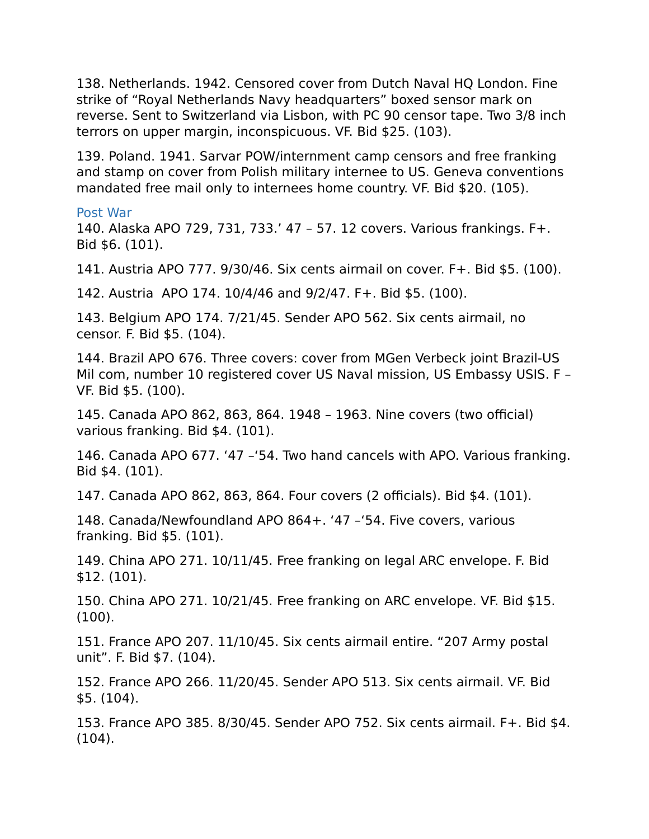138. Netherlands. 1942. Censored cover from Dutch Naval HQ London. Fine strike of "Royal Netherlands Navy headquarters" boxed sensor mark on reverse. Sent to Switzerland via Lisbon, with PC 90 censor tape. Two 3/8 inch terrors on upper margin, inconspicuous. VF. Bid \$25. (103).

139. Poland. 1941. Sarvar POW/internment camp censors and free franking and stamp on cover from Polish military internee to US. Geneva conventions mandated free mail only to internees home country. VF. Bid \$20. (105).

#### Post War

140. Alaska APO 729, 731, 733.' 47 – 57. 12 covers. Various frankings. F+. Bid \$6. (101).

141. Austria APO 777. 9/30/46. Six cents airmail on cover. F+. Bid \$5. (100).

142. Austria APO 174. 10/4/46 and 9/2/47. F+. Bid \$5. (100).

143. Belgium APO 174. 7/21/45. Sender APO 562. Six cents airmail, no censor. F. Bid \$5. (104).

144. Brazil APO 676. Three covers: cover from MGen Verbeck joint Brazil-US Mil com, number 10 registered cover US Naval mission, US Embassy USIS. F – VF. Bid \$5. (100).

145. Canada APO 862, 863, 864. 1948 – 1963. Nine covers (two official) various franking. Bid \$4. (101).

146. Canada APO 677. '47 –'54. Two hand cancels with APO. Various franking. Bid \$4. (101).

147. Canada APO 862, 863, 864. Four covers (2 officials). Bid \$4. (101).

148. Canada/Newfoundland APO 864+. '47 –'54. Five covers, various franking. Bid \$5. (101).

149. China APO 271. 10/11/45. Free franking on legal ARC envelope. F. Bid \$12. (101).

150. China APO 271. 10/21/45. Free franking on ARC envelope. VF. Bid \$15. (100).

151. France APO 207. 11/10/45. Six cents airmail entire. "207 Army postal unit". F. Bid \$7. (104).

152. France APO 266. 11/20/45. Sender APO 513. Six cents airmail. VF. Bid \$5. (104).

153. France APO 385. 8/30/45. Sender APO 752. Six cents airmail. F+. Bid \$4. (104).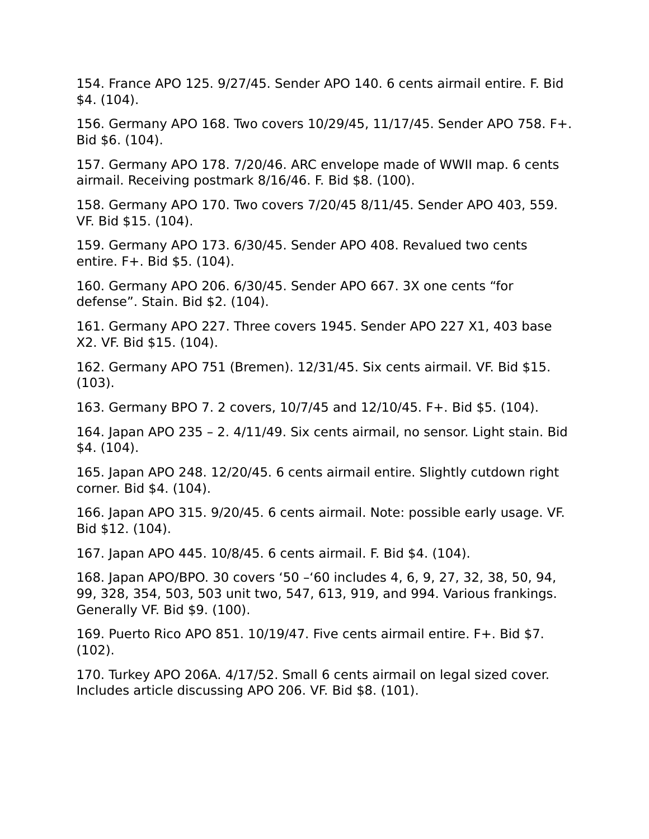154. France APO 125. 9/27/45. Sender APO 140. 6 cents airmail entire. F. Bid \$4. (104).

156. Germany APO 168. Two covers 10/29/45, 11/17/45. Sender APO 758. F+. Bid \$6. (104).

157. Germany APO 178. 7/20/46. ARC envelope made of WWII map. 6 cents airmail. Receiving postmark 8/16/46. F. Bid \$8. (100).

158. Germany APO 170. Two covers 7/20/45 8/11/45. Sender APO 403, 559. VF. Bid \$15. (104).

159. Germany APO 173. 6/30/45. Sender APO 408. Revalued two cents entire. F+. Bid \$5. (104).

160. Germany APO 206. 6/30/45. Sender APO 667. 3X one cents "for defense". Stain. Bid \$2. (104).

161. Germany APO 227. Three covers 1945. Sender APO 227 X1, 403 base X2. VF. Bid \$15. (104).

162. Germany APO 751 (Bremen). 12/31/45. Six cents airmail. VF. Bid \$15. (103).

163. Germany BPO 7. 2 covers, 10/7/45 and 12/10/45. F+. Bid \$5. (104).

164. Japan APO 235 – 2. 4/11/49. Six cents airmail, no sensor. Light stain. Bid \$4. (104).

165. Japan APO 248. 12/20/45. 6 cents airmail entire. Slightly cutdown right corner. Bid \$4. (104).

166. Japan APO 315. 9/20/45. 6 cents airmail. Note: possible early usage. VF. Bid \$12. (104).

167. Japan APO 445. 10/8/45. 6 cents airmail. F. Bid \$4. (104).

168. Japan APO/BPO. 30 covers '50 –'60 includes 4, 6, 9, 27, 32, 38, 50, 94, 99, 328, 354, 503, 503 unit two, 547, 613, 919, and 994. Various frankings. Generally VF. Bid \$9. (100).

169. Puerto Rico APO 851. 10/19/47. Five cents airmail entire. F+. Bid \$7. (102).

170. Turkey APO 206A. 4/17/52. Small 6 cents airmail on legal sized cover. Includes article discussing APO 206. VF. Bid \$8. (101).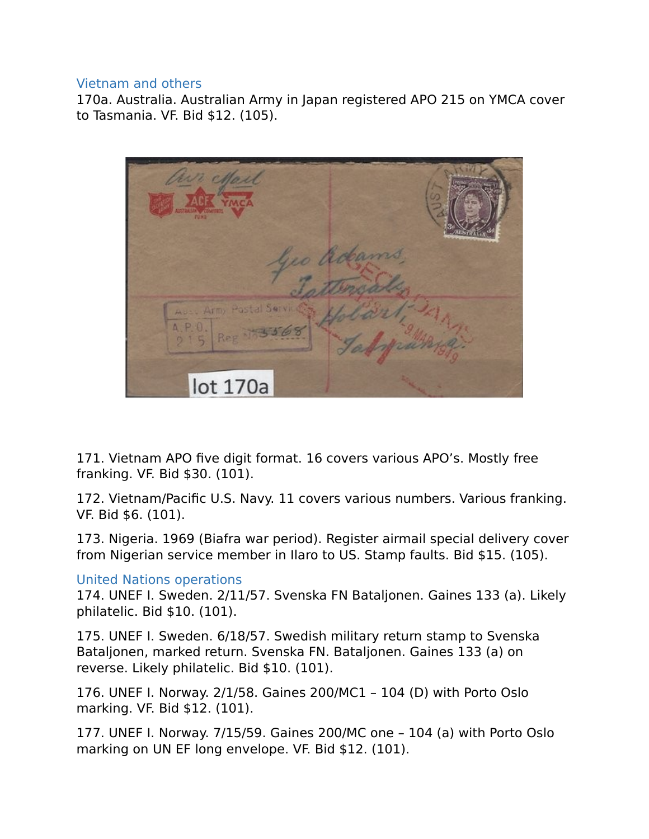#### Vietnam and others

170a. Australia. Australian Army in Japan registered APO 215 on YMCA cover to Tasmania. VF. Bid \$12. (105).



171. Vietnam APO five digit format. 16 covers various APO's. Mostly free franking. VF. Bid \$30. (101).

172. Vietnam/Pacific U.S. Navy. 11 covers various numbers. Various franking. VF. Bid \$6. (101).

173. Nigeria. 1969 (Biafra war period). Register airmail special delivery cover from Nigerian service member in Ilaro to US. Stamp faults. Bid \$15. (105).

## United Nations operations

174. UNEF I. Sweden. 2/11/57. Svenska FN Bataljonen. Gaines 133 (a). Likely philatelic. Bid \$10. (101).

175. UNEF I. Sweden. 6/18/57. Swedish military return stamp to Svenska Bataljonen, marked return. Svenska FN. Bataljonen. Gaines 133 (a) on reverse. Likely philatelic. Bid \$10. (101).

176. UNEF I. Norway. 2/1/58. Gaines 200/MC1 – 104 (D) with Porto Oslo marking. VF. Bid \$12. (101).

177. UNEF I. Norway. 7/15/59. Gaines 200/MC one – 104 (a) with Porto Oslo marking on UN EF long envelope. VF. Bid \$12. (101).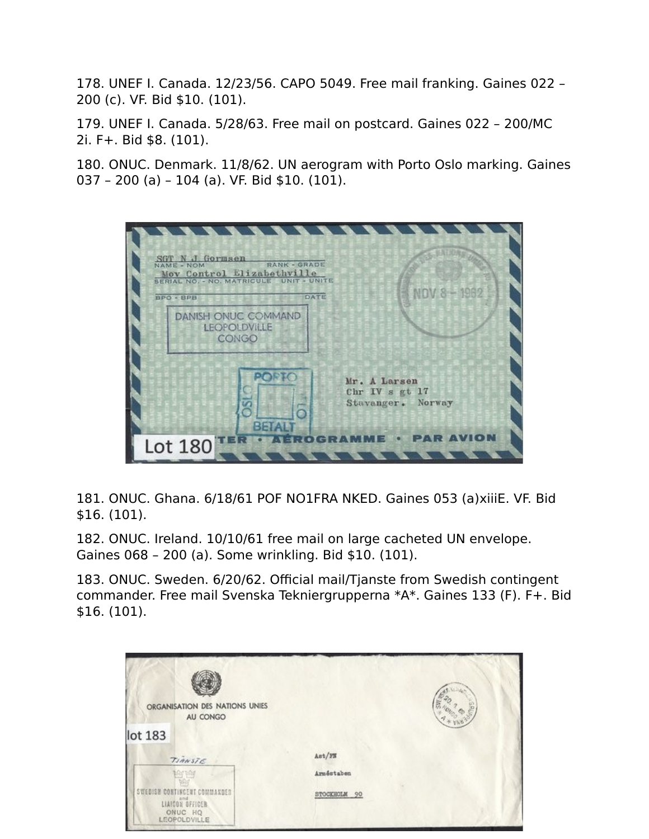178. UNEF I. Canada. 12/23/56. CAPO 5049. Free mail franking. Gaines 022 – 200 (c). VF. Bid \$10. (101).

179. UNEF I. Canada. 5/28/63. Free mail on postcard. Gaines 022 – 200/MC 2i. F+. Bid \$8. (101).

180. ONUC. Denmark. 11/8/62. UN aerogram with Porto Oslo marking. Gaines 037 – 200 (a) – 104 (a). VF. Bid \$10. (101).

| 1 1 1 1 1 1 1<br>SGT N J Gormsen<br><b>RANK - GRADE</b><br>NAME - NOM<br>Mov Control Elizabethville<br>SERIAL NO. - NO. MATRICULE UNIT - UNITE<br>DATE<br>BPO - BPB | NOV 8 - 1982                                        |
|---------------------------------------------------------------------------------------------------------------------------------------------------------------------|-----------------------------------------------------|
| <b>DANISH ONUC COMMAND</b><br><b>LEOPOLDVILLE</b><br>CONGO                                                                                                          |                                                     |
| PORTO<br><b>BETALT</b>                                                                                                                                              | Mr. A Larsen<br>Chr IV s gt 17<br>Stavanger. Norway |
| Lot 180                                                                                                                                                             | <b>• PAR AVION</b>                                  |

181. ONUC. Ghana. 6/18/61 POF NO1FRA NKED. Gaines 053 (a)xiiiE. VF. Bid \$16. (101).

182. ONUC. Ireland. 10/10/61 free mail on large cacheted UN envelope. Gaines 068 – 200 (a). Some wrinkling. Bid \$10. (101).

183. ONUC. Sweden. 6/20/62. Official mail/Tjanste from Swedish contingent commander. Free mail Svenska Tekniergrupperna \*A\*. Gaines 133 (F). F+. Bid \$16. (101).

| ORGANISATION DES NATIONS UNIES<br>AU CONGO                                |              |
|---------------------------------------------------------------------------|--------------|
| lot 183                                                                   |              |
| TIANSTE                                                                   | Ast/FN       |
| Any pay                                                                   | Arméstaben   |
| <b>CONTINGENT COMMANDER</b><br>LIAICON SFFICER<br>ONUC HQ<br>LEOPOLDVILLE | STOCKHOLM 90 |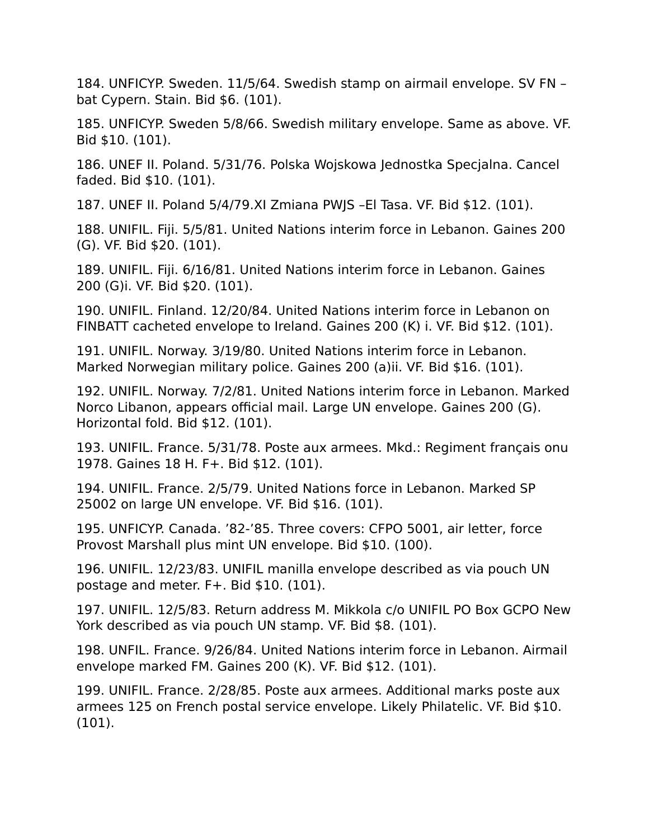184. UNFICYP. Sweden. 11/5/64. Swedish stamp on airmail envelope. SV FN – bat Cypern. Stain. Bid \$6. (101).

185. UNFICYP. Sweden 5/8/66. Swedish military envelope. Same as above. VF. Bid \$10. (101).

186. UNEF II. Poland. 5/31/76. Polska Wojskowa Jednostka Specjalna. Cancel faded. Bid \$10. (101).

187. UNEF II. Poland 5/4/79.XI Zmiana PWJS –El Tasa. VF. Bid \$12. (101).

188. UNIFIL. Fiji. 5/5/81. United Nations interim force in Lebanon. Gaines 200 (G). VF. Bid \$20. (101).

189. UNIFIL. Fiji. 6/16/81. United Nations interim force in Lebanon. Gaines 200 (G)i. VF. Bid \$20. (101).

190. UNIFIL. Finland. 12/20/84. United Nations interim force in Lebanon on FINBATT cacheted envelope to Ireland. Gaines 200 (K) i. VF. Bid \$12. (101).

191. UNIFIL. Norway. 3/19/80. United Nations interim force in Lebanon. Marked Norwegian military police. Gaines 200 (a)ii. VF. Bid \$16. (101).

192. UNIFIL. Norway. 7/2/81. United Nations interim force in Lebanon. Marked Norco Libanon, appears official mail. Large UN envelope. Gaines 200 (G). Horizontal fold. Bid \$12. (101).

193. UNIFIL. France. 5/31/78. Poste aux armees. Mkd.: Regiment français onu 1978. Gaines 18 H. F+. Bid \$12. (101).

194. UNIFIL. France. 2/5/79. United Nations force in Lebanon. Marked SP 25002 on large UN envelope. VF. Bid \$16. (101).

195. UNFICYP. Canada. '82-'85. Three covers: CFPO 5001, air letter, force Provost Marshall plus mint UN envelope. Bid \$10. (100).

196. UNIFIL. 12/23/83. UNIFIL manilla envelope described as via pouch UN postage and meter. F+. Bid \$10. (101).

197. UNIFIL. 12/5/83. Return address M. Mikkola c/o UNIFIL PO Box GCPO New York described as via pouch UN stamp. VF. Bid \$8. (101).

198. UNFIL. France. 9/26/84. United Nations interim force in Lebanon. Airmail envelope marked FM. Gaines 200 (K). VF. Bid \$12. (101).

199. UNIFIL. France. 2/28/85. Poste aux armees. Additional marks poste aux armees 125 on French postal service envelope. Likely Philatelic. VF. Bid \$10. (101).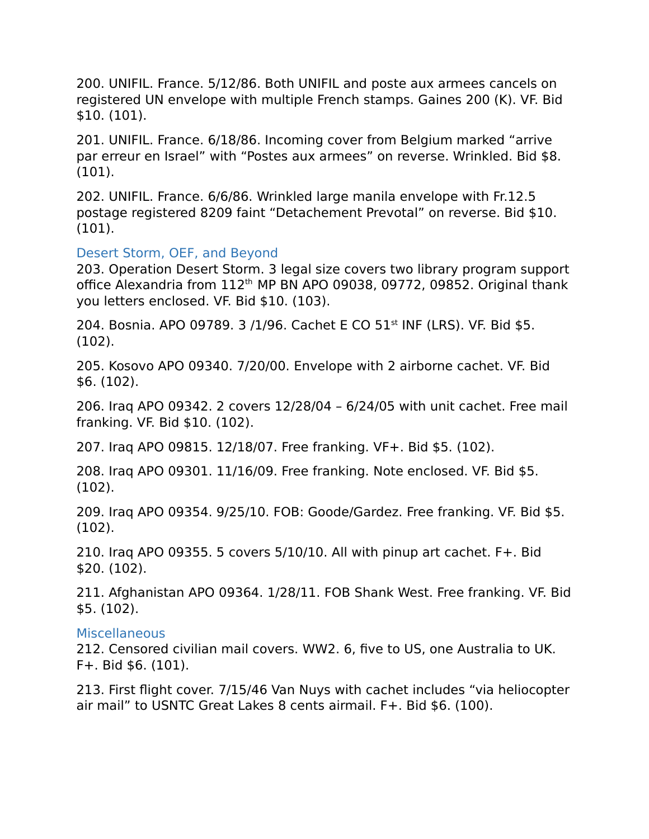200. UNIFIL. France. 5/12/86. Both UNIFIL and poste aux armees cancels on registered UN envelope with multiple French stamps. Gaines 200 (K). VF. Bid \$10. (101).

201. UNIFIL. France. 6/18/86. Incoming cover from Belgium marked "arrive par erreur en Israel" with "Postes aux armees" on reverse. Wrinkled. Bid \$8. (101).

202. UNIFIL. France. 6/6/86. Wrinkled large manila envelope with Fr.12.5 postage registered 8209 faint "Detachement Prevotal" on reverse. Bid \$10. (101).

#### Desert Storm, OEF, and Beyond

203. Operation Desert Storm. 3 legal size covers two library program support office Alexandria from 112<sup>th</sup> MP BN APO 09038, 09772, 09852. Original thank you letters enclosed. VF. Bid \$10. (103).

204. Bosnia. APO 09789. 3 /1/96. Cachet E CO 51<sup>st</sup> INF (LRS). VF. Bid \$5. (102).

205. Kosovo APO 09340. 7/20/00. Envelope with 2 airborne cachet. VF. Bid \$6. (102).

206. Iraq APO 09342. 2 covers 12/28/04 – 6/24/05 with unit cachet. Free mail franking. VF. Bid \$10. (102).

207. Iraq APO 09815. 12/18/07. Free franking. VF+. Bid \$5. (102).

208. Iraq APO 09301. 11/16/09. Free franking. Note enclosed. VF. Bid \$5. (102).

209. Iraq APO 09354. 9/25/10. FOB: Goode/Gardez. Free franking. VF. Bid \$5. (102).

210. Iraq APO 09355. 5 covers 5/10/10. All with pinup art cachet. F+. Bid \$20. (102).

211. Afghanistan APO 09364. 1/28/11. FOB Shank West. Free franking. VF. Bid \$5. (102).

#### Miscellaneous

212. Censored civilian mail covers. WW2. 6, five to US, one Australia to UK. F+. Bid \$6. (101).

213. First flight cover. 7/15/46 Van Nuys with cachet includes "via heliocopter air mail" to USNTC Great Lakes 8 cents airmail. F+. Bid \$6. (100).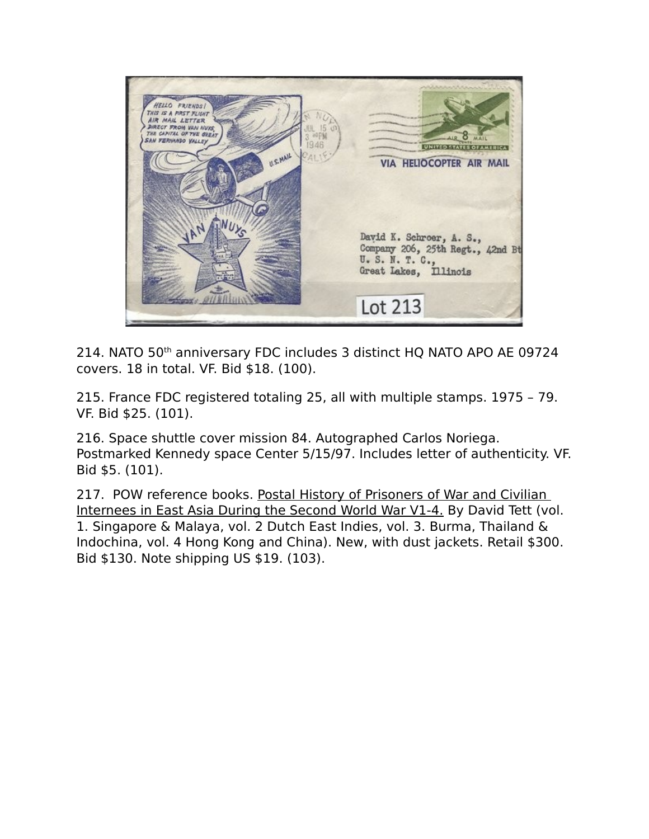

214. NATO 50th anniversary FDC includes 3 distinct HQ NATO APO AE 09724 covers. 18 in total. VF. Bid \$18. (100).

215. France FDC registered totaling 25, all with multiple stamps. 1975 – 79. VF. Bid \$25. (101).

216. Space shuttle cover mission 84. Autographed Carlos Noriega. Postmarked Kennedy space Center 5/15/97. Includes letter of authenticity. VF. Bid \$5. (101).

217. POW reference books. Postal History of Prisoners of War and Civilian Internees in East Asia During the Second World War V1-4. By David Tett (vol. 1. Singapore & Malaya, vol. 2 Dutch East Indies, vol. 3. Burma, Thailand & Indochina, vol. 4 Hong Kong and China). New, with dust jackets. Retail \$300. Bid \$130. Note shipping US \$19. (103).